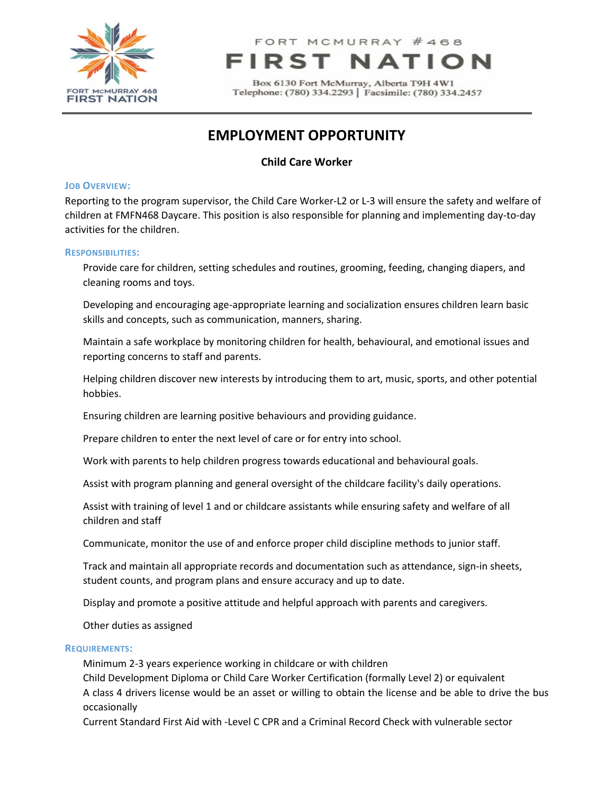

# FORT MCMURRAY #468

Box 6130 Fort McMurray, Alberta T9H 4W1 Telephone: (780) 334.2293 | Facsimile: (780) 334.2457

# **EMPLOYMENT OPPORTUNITY**

## **Child Care Worker**

#### **JOB OVERVIEW:**

Reporting to the program supervisor, the Child Care Worker-L2 or L-3 will ensure the safety and welfare of children at FMFN468 Daycare. This position is also responsible for planning and implementing day-to-day activities for the children.

#### **RESPONSIBILITIES:**

Provide care for children, setting schedules and routines, grooming, feeding, changing diapers, and cleaning rooms and toys.

Developing and encouraging age-appropriate learning and socialization ensures children learn basic skills and concepts, such as communication, manners, sharing.

Maintain a safe workplace by monitoring children for health, behavioural, and emotional issues and reporting concerns to staff and parents.

Helping children discover new interests by introducing them to art, music, sports, and other potential hobbies.

Ensuring children are learning positive behaviours and providing guidance.

Prepare children to enter the next level of care or for entry into school.

Work with parents to help children progress towards educational and behavioural goals.

Assist with program planning and general oversight of the childcare facility's daily operations.

Assist with training of level 1 and or childcare assistants while ensuring safety and welfare of all children and staff

Communicate, monitor the use of and enforce proper child discipline methods to junior staff.

Track and maintain all appropriate records and documentation such as attendance, sign-in sheets, student counts, and program plans and ensure accuracy and up to date.

Display and promote a positive attitude and helpful approach with parents and caregivers.

Other duties as assigned

#### **REQUIREMENTS:**

Minimum 2-3 years experience working in childcare or with children

Child Development Diploma or Child Care Worker Certification (formally Level 2) or equivalent A class 4 drivers license would be an asset or willing to obtain the license and be able to drive the bus occasionally

Current Standard First Aid with -Level C CPR and a Criminal Record Check with vulnerable sector